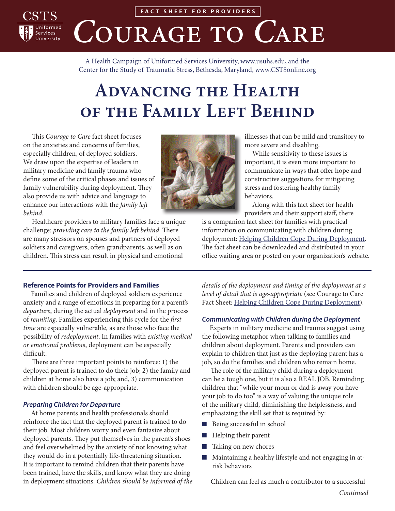

**FACT SHEET FOR PROVIDERS** COURAGE TO CARE

A Health Campaign of Uniformed Services University, [www.usuhs.edu,](http://www.usuhs.edu) and the Center for the Study of Traumatic Stress, Bethesda, Maryland, [www.CSTSonline.org](http://www.cstsonline.org)

# **Advancing the Health OF THE FAMILY LEFT BEHIND**

This *Courage to Care* fact sheet focuses on the anxieties and concerns of families, especially children, of deployed soldiers. We draw upon the expertise of leaders in military medicine and family trauma who define some of the critical phases and issues of family vulnerability during deployment. They also provide us with advice and language to enhance our interactions with the *family left behind*.

Healthcare providers to military families face a unique challenge: *providing care to the family left behind*. There are many stressors on spouses and partners of deployed soldiers and caregivers, often grandparents, as well as on children. This stress can result in physical and emotional



illnesses that can be mild and transitory to more severe and disabling.

While sensitivity to these issues is important, it is even more important to communicate in ways that offer hope and constructive suggestions for mitigating stress and fostering healthy family behaviors.

Along with this fact sheet for health providers and their support staff, there

is a companion fact sheet for families with practical information on communicating with children during deployment: [Helping Children Cope During Deployment](https://www.cstsonline.org/assets/media/documents/CSTS_C2C_Helping_Children_Cope_During_Deployment.pdf). The fact sheet can be downloaded and distributed in your office waiting area or posted on your organization's website.

## **Reference Points for Providers and Families**

Families and children of deployed soldiers experience anxiety and a range of emotions in preparing for a parent's *departure*, during the actual *deployment* and in the process of *reuniting*. Families experiencing this cycle for the *first time* are especially vulnerable, as are those who face the possibility of *redeployment*. In families with *existing medical or emotional problem*s, deployment can be especially difficult.

There are three important points to reinforce: 1) the deployed parent is trained to do their job; 2) the family and children at home also have a job; and, 3) communication with children should be age-appropriate.

#### *Preparing Children for Departure*

At home parents and health professionals should reinforce the fact that the deployed parent is trained to do their job. Most children worry and even fantasize about deployed parents. They put themselves in the parent's shoes and feel overwhelmed by the anxiety of not knowing what they would do in a potentially life-threatening situation. It is important to remind children that their parents have been trained, have the skills, and know what they are doing in deployment situations. *Children should be informed of the*  *details of the deployment and timing of the deployment at a level of detail that is age-appropriate* (see Courage to Care Fact Sheet: [Helping Children Cope During Deployment\)](https://www.cstsonline.org/assets/media/documents/CSTS_C2C_Helping_Children_Cope_During_Deployment.pdf).

#### *Communicating with Children during the Deployment*

Experts in military medicine and trauma suggest using the following metaphor when talking to families and children about deployment. Parents and providers can explain to children that just as the deploying parent has a job, so do the families and children who remain home.

The role of the military child during a deployment can be a tough one, but it is also a REAL JOB. Reminding children that "while your mom or dad is away you have your job to do too" is a way of valuing the unique role of the military child, diminishing the helplessness, and emphasizing the skill set that is required by:

- Being successful in school
- Helping their parent
- Taking on new chores
- Maintaining a healthy lifestyle and not engaging in atrisk behaviors

Children can feel as much a contributor to a successful